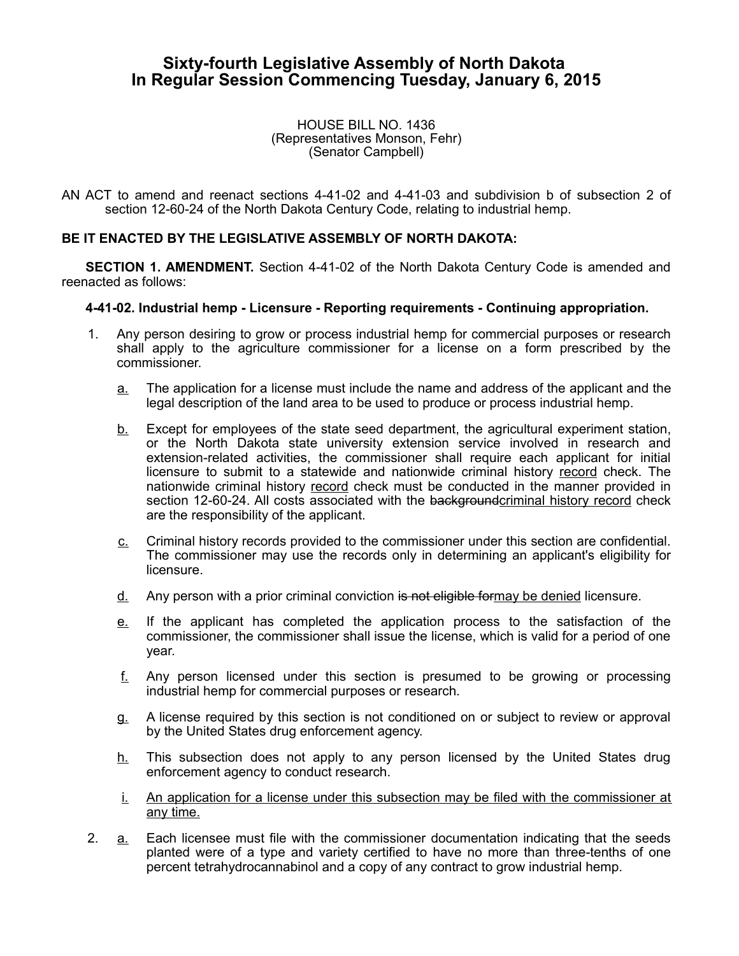# **Sixty-fourth Legislative Assembly of North Dakota In Regular Session Commencing Tuesday, January 6, 2015**

#### HOUSE BILL NO. 1436 (Representatives Monson, Fehr) (Senator Campbell)

AN ACT to amend and reenact sections 4-41-02 and 4-41-03 and subdivision b of subsection 2 of section 12-60-24 of the North Dakota Century Code, relating to industrial hemp.

# **BE IT ENACTED BY THE LEGISLATIVE ASSEMBLY OF NORTH DAKOTA:**

**SECTION 1. AMENDMENT.** Section 4-41-02 of the North Dakota Century Code is amended and reenacted as follows:

## **4-41-02. Industrial hemp - Licensure - Reporting requirements - Continuing appropriation.**

- 1. Any person desiring to grow or process industrial hemp for commercial purposes or research shall apply to the agriculture commissioner for a license on a form prescribed by the commissioner.
	- a. The application for a license must include the name and address of the applicant and the legal description of the land area to be used to produce or process industrial hemp.
	- b. Except for employees of the state seed department, the agricultural experiment station, or the North Dakota state university extension service involved in research and extension-related activities, the commissioner shall require each applicant for initial licensure to submit to a statewide and nationwide criminal history record check. The nationwide criminal history record check must be conducted in the manner provided in section 12-60-24. All costs associated with the backgroundcriminal history record check are the responsibility of the applicant.
	- c. Criminal history records provided to the commissioner under this section are confidential. The commissioner may use the records only in determining an applicant's eligibility for licensure.
	- d. Any person with a prior criminal conviction is not eligible formay be denied licensure.
	- e. If the applicant has completed the application process to the satisfaction of the commissioner, the commissioner shall issue the license, which is valid for a period of one year.
	- f. Any person licensed under this section is presumed to be growing or processing industrial hemp for commercial purposes or research.
	- g. A license required by this section is not conditioned on or subject to review or approval by the United States drug enforcement agency.
	- $h$ . This subsection does not apply to any person licensed by the United States drug enforcement agency to conduct research.
	- i. An application for a license under this subsection may be filed with the commissioner at any time.
- 2. a. Each licensee must file with the commissioner documentation indicating that the seeds planted were of a type and variety certified to have no more than three-tenths of one percent tetrahydrocannabinol and a copy of any contract to grow industrial hemp.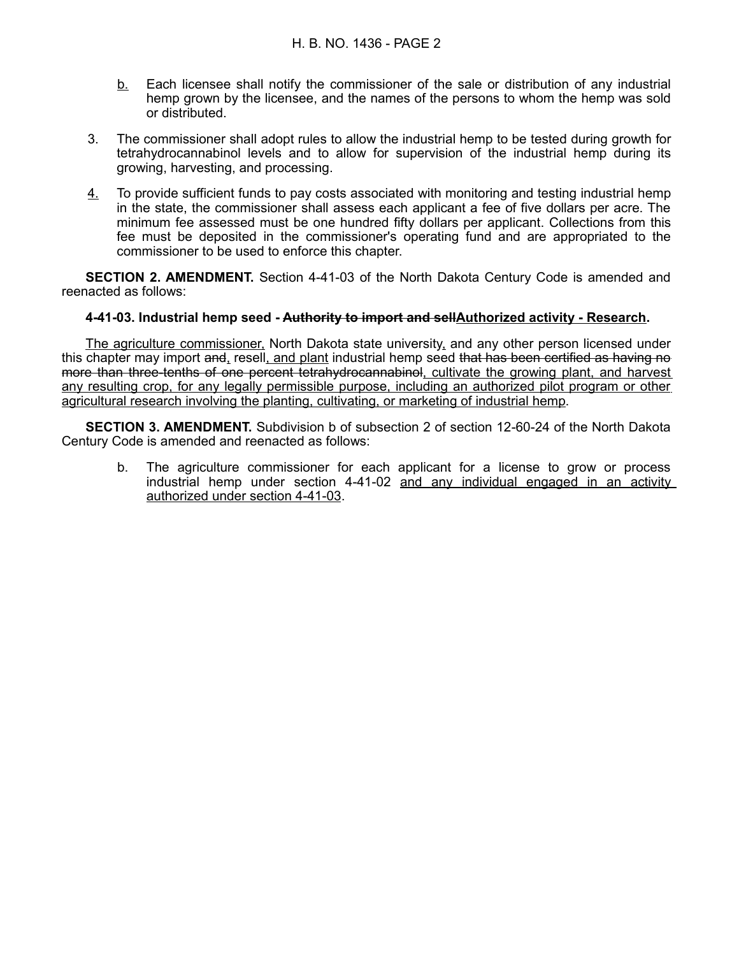- b. Each licensee shall notify the commissioner of the sale or distribution of any industrial hemp grown by the licensee, and the names of the persons to whom the hemp was sold or distributed.
- 3. The commissioner shall adopt rules to allow the industrial hemp to be tested during growth for tetrahydrocannabinol levels and to allow for supervision of the industrial hemp during its growing, harvesting, and processing.
- 4. To provide sufficient funds to pay costs associated with monitoring and testing industrial hemp in the state, the commissioner shall assess each applicant a fee of five dollars per acre. The minimum fee assessed must be one hundred fifty dollars per applicant. Collections from this fee must be deposited in the commissioner's operating fund and are appropriated to the commissioner to be used to enforce this chapter.

**SECTION 2. AMENDMENT.** Section 4-41-03 of the North Dakota Century Code is amended and reenacted as follows:

## **4-41-03. Industrial hemp seed - Authority to import and sellAuthorized activity - Research.**

The agriculture commissioner, North Dakota state university, and any other person licensed under this chapter may import and, resell, and plant industrial hemp seed that has been certified as having no more than three-tenths of one percent tetrahydrocannabinol, cultivate the growing plant, and harvest any resulting crop, for any legally permissible purpose, including an authorized pilot program or other agricultural research involving the planting, cultivating, or marketing of industrial hemp.

**SECTION 3. AMENDMENT.** Subdivision b of subsection 2 of section 12-60-24 of the North Dakota Century Code is amended and reenacted as follows:

b. The agriculture commissioner for each applicant for a license to grow or process industrial hemp under section 4-41-02 and any individual engaged in an activity authorized under section 4-41-03.